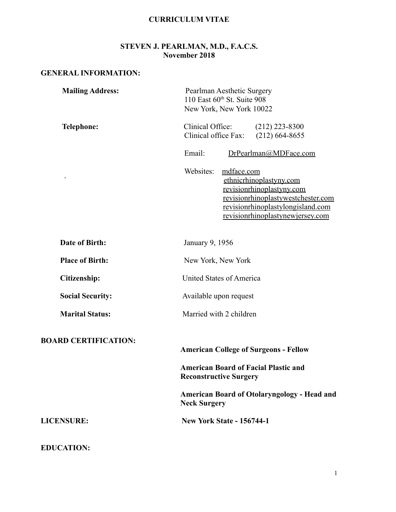#### **CURRICULUM VITAE**

#### **STEVEN J. PEARLMAN, M.D., F.A.C.S. November 2018**

## **GENERAL INFORMATION:**

| <b>Mailing Address:</b>     | Pearlman Aesthetic Surgery<br>110 East 60th St. Suite 908<br>New York, New York 10022                                                                                                          |
|-----------------------------|------------------------------------------------------------------------------------------------------------------------------------------------------------------------------------------------|
| <b>Telephone:</b>           | Clinical Office:<br>$(212)$ 223-8300<br>Clinical office Fax:<br>$(212)$ 664-8655                                                                                                               |
|                             | Email:<br>DrPearlman@MDFace.com                                                                                                                                                                |
| ٠                           | Websites:<br>mdface.com<br>ethnicrhinoplastyny.com<br>revisionrhinoplastyny.com<br>revisionrhinoplastywestchester.com<br>revisionrhinoplastylongisland.com<br>revisionrhinoplastynewjersey.com |
| <b>Date of Birth:</b>       | January 9, 1956                                                                                                                                                                                |
| <b>Place of Birth:</b>      | New York, New York                                                                                                                                                                             |
| Citizenship:                | United States of America                                                                                                                                                                       |
| <b>Social Security:</b>     | Available upon request                                                                                                                                                                         |
| <b>Marital Status:</b>      | Married with 2 children                                                                                                                                                                        |
| <b>BOARD CERTIFICATION:</b> | <b>American College of Surgeons - Fellow</b>                                                                                                                                                   |
|                             | <b>American Board of Facial Plastic and</b><br><b>Reconstructive Surgery</b>                                                                                                                   |
|                             | <b>American Board of Otolaryngology - Head and</b><br><b>Neck Surgery</b>                                                                                                                      |
| <b>LICENSURE:</b>           | <b>New York State - 156744-1</b>                                                                                                                                                               |
| <b>EDUCATION:</b>           |                                                                                                                                                                                                |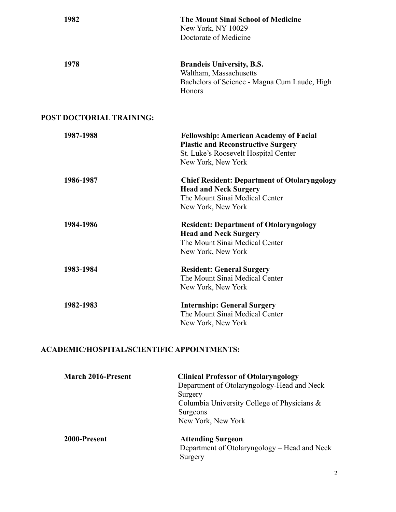| 1982                                              | <b>The Mount Sinai School of Medicine</b><br>New York, NY 10029<br>Doctorate of Medicine                                                                 |
|---------------------------------------------------|----------------------------------------------------------------------------------------------------------------------------------------------------------|
| 1978                                              | <b>Brandeis University, B.S.</b>                                                                                                                         |
|                                                   | Waltham, Massachusetts<br>Bachelors of Science - Magna Cum Laude, High<br>Honors                                                                         |
| <b>POST DOCTORIAL TRAINING:</b>                   |                                                                                                                                                          |
| 1987-1988                                         | <b>Fellowship: American Academy of Facial</b><br><b>Plastic and Reconstructive Surgery</b><br>St. Luke's Roosevelt Hospital Center<br>New York, New York |
| 1986-1987                                         | <b>Chief Resident: Department of Otolaryngology</b><br><b>Head and Neck Surgery</b><br>The Mount Sinai Medical Center<br>New York, New York              |
| 1984-1986                                         | <b>Resident: Department of Otolaryngology</b><br><b>Head and Neck Surgery</b><br>The Mount Sinai Medical Center<br>New York, New York                    |
| 1983-1984                                         | <b>Resident: General Surgery</b><br>The Mount Sinai Medical Center<br>New York, New York                                                                 |
| 1982-1983                                         | <b>Internship: General Surgery</b><br>The Mount Sinai Medical Center<br>New York, New York                                                               |
| <b>ACADEMIC/HOSPITAL/SCIENTIFIC APPOINTMENTS:</b> |                                                                                                                                                          |

| <b>March 2016-Present</b> | <b>Clinical Professor of Otolaryngology</b>  |
|---------------------------|----------------------------------------------|
|                           | Department of Otolaryngology-Head and Neck   |
|                           | Surgery                                      |
|                           | Columbia University College of Physicians &  |
|                           | Surgeons                                     |
|                           | New York, New York                           |
| 2000-Present              | <b>Attending Surgeon</b>                     |
|                           | Department of Otolaryngology – Head and Neck |
|                           | Surgery                                      |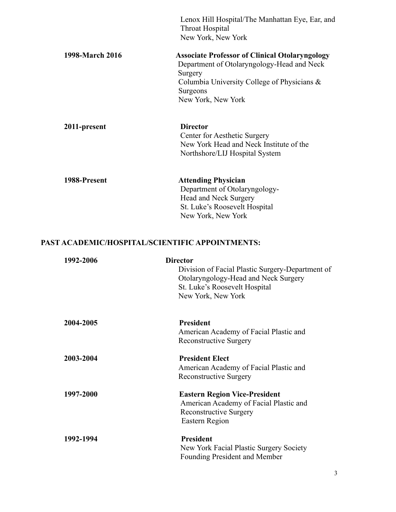|                 | Lenox Hill Hospital/The Manhattan Eye, Ear, and<br>Throat Hospital                                             |
|-----------------|----------------------------------------------------------------------------------------------------------------|
|                 | New York, New York                                                                                             |
| 1998-March 2016 | <b>Associate Professor of Clinical Otolaryngology</b><br>Department of Otolaryngology-Head and Neck<br>Surgery |
|                 | Columbia University College of Physicians &                                                                    |
|                 | Surgeons                                                                                                       |
|                 | New York, New York                                                                                             |
| 2011-present    | <b>Director</b>                                                                                                |
|                 | Center for Aesthetic Surgery                                                                                   |
|                 | New York Head and Neck Institute of the                                                                        |
|                 | Northshore/LIJ Hospital System                                                                                 |
| 1988-Present    | <b>Attending Physician</b>                                                                                     |
|                 | Department of Otolaryngology-                                                                                  |
|                 | Head and Neck Surgery                                                                                          |
|                 | St. Luke's Roosevelt Hospital                                                                                  |
|                 | New York, New York                                                                                             |

# **PAST ACADEMIC/HOSPITAL/SCIENTIFIC APPOINTMENTS:**

| 1992-2006 | <b>Director</b>                                  |
|-----------|--------------------------------------------------|
|           | Division of Facial Plastic Surgery-Department of |
|           | Otolaryngology-Head and Neck Surgery             |
|           | St. Luke's Roosevelt Hospital                    |
|           | New York, New York                               |
| 2004-2005 | <b>President</b>                                 |
|           | American Academy of Facial Plastic and           |
|           | <b>Reconstructive Surgery</b>                    |
| 2003-2004 | <b>President Elect</b>                           |
|           | American Academy of Facial Plastic and           |
|           | <b>Reconstructive Surgery</b>                    |
| 1997-2000 | <b>Eastern Region Vice-President</b>             |
|           | American Academy of Facial Plastic and           |
|           | <b>Reconstructive Surgery</b>                    |
|           | Eastern Region                                   |
| 1992-1994 | <b>President</b>                                 |
|           | New York Facial Plastic Surgery Society          |
|           | Founding President and Member                    |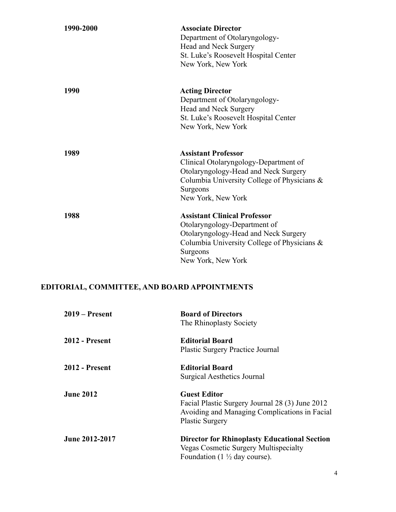| 1990-2000 | <b>Associate Director</b><br>Department of Otolaryngology-<br>Head and Neck Surgery<br>St. Luke's Roosevelt Hospital Center<br>New York, New York                                            |
|-----------|----------------------------------------------------------------------------------------------------------------------------------------------------------------------------------------------|
| 1990      | <b>Acting Director</b><br>Department of Otolaryngology-<br>Head and Neck Surgery<br>St. Luke's Roosevelt Hospital Center<br>New York, New York                                               |
| 1989      | <b>Assistant Professor</b><br>Clinical Otolaryngology-Department of<br>Otolaryngology-Head and Neck Surgery<br>Columbia University College of Physicians &<br>Surgeons<br>New York, New York |
| 1988      | <b>Assistant Clinical Professor</b><br>Otolaryngology-Department of<br>Otolaryngology-Head and Neck Surgery<br>Columbia University College of Physicians &<br>Surgeons<br>New York, New York |

# **EDITORIAL, COMMITTEE, AND BOARD APPOINTMENTS**

| $2019 -$ Present      | <b>Board of Directors</b><br>The Rhinoplasty Society                                                                                              |
|-----------------------|---------------------------------------------------------------------------------------------------------------------------------------------------|
| <b>2012 - Present</b> | <b>Editorial Board</b><br><b>Plastic Surgery Practice Journal</b>                                                                                 |
| <b>2012 - Present</b> | <b>Editorial Board</b><br><b>Surgical Aesthetics Journal</b>                                                                                      |
| <b>June 2012</b>      | <b>Guest Editor</b><br>Facial Plastic Surgery Journal 28 (3) June 2012<br>Avoiding and Managing Complications in Facial<br><b>Plastic Surgery</b> |
| June 2012-2017        | <b>Director for Rhinoplasty Educational Section</b><br><b>Vegas Cosmetic Surgery Multispecialty</b><br>Foundation $(1 \frac{1}{2})$ day course).  |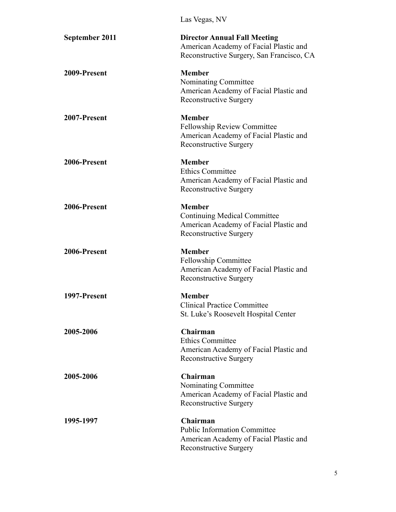|                  | Las Vegas, NV                                                                                                                   |
|------------------|---------------------------------------------------------------------------------------------------------------------------------|
| September 2011   | <b>Director Annual Fall Meeting</b><br>American Academy of Facial Plastic and<br>Reconstructive Surgery, San Francisco, CA      |
| 2009-Present     | <b>Member</b><br>Nominating Committee<br>American Academy of Facial Plastic and<br><b>Reconstructive Surgery</b>                |
| 2007-Present     | <b>Member</b><br><b>Fellowship Review Committee</b><br>American Academy of Facial Plastic and<br><b>Reconstructive Surgery</b>  |
| 2006-Present     | <b>Member</b><br><b>Ethics Committee</b><br>American Academy of Facial Plastic and<br><b>Reconstructive Surgery</b>             |
| 2006-Present     | <b>Member</b><br><b>Continuing Medical Committee</b><br>American Academy of Facial Plastic and<br><b>Reconstructive Surgery</b> |
| 2006-Present     | <b>Member</b><br><b>Fellowship Committee</b><br>American Academy of Facial Plastic and<br><b>Reconstructive Surgery</b>         |
| 1997-Present     | <b>Member</b><br><b>Clinical Practice Committee</b><br>St. Luke's Roosevelt Hospital Center                                     |
| 2005-2006        | Chairman<br><b>Ethics Committee</b><br>American Academy of Facial Plastic and<br><b>Reconstructive Surgery</b>                  |
| <b>2005-2006</b> | Chairman<br>Nominating Committee<br>American Academy of Facial Plastic and<br><b>Reconstructive Surgery</b>                     |
| 1995-1997        | Chairman<br><b>Public Information Committee</b><br>American Academy of Facial Plastic and<br><b>Reconstructive Surgery</b>      |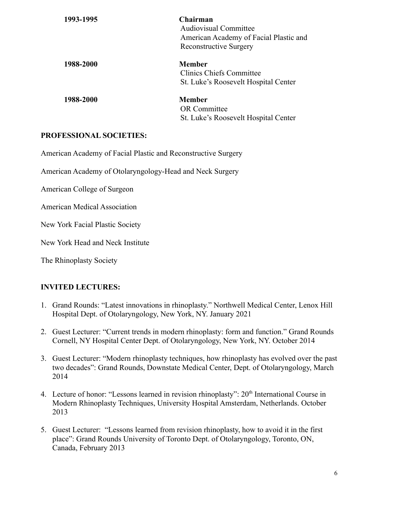| 1993-1995 | Chairman<br><b>Audiovisual Committee</b><br>American Academy of Facial Plastic and<br><b>Reconstructive Surgery</b> |
|-----------|---------------------------------------------------------------------------------------------------------------------|
| 1988-2000 | Member<br>Clinics Chiefs Committee<br>St. Luke's Roosevelt Hospital Center                                          |
| 1988-2000 | Member<br><b>OR</b> Committee<br>St. Luke's Roosevelt Hospital Center                                               |

### **PROFESSIONAL SOCIETIES:**

American Academy of Facial Plastic and Reconstructive Surgery

American Academy of Otolaryngology-Head and Neck Surgery

American College of Surgeon

American Medical Association

New York Facial Plastic Society

New York Head and Neck Institute

The Rhinoplasty Society

#### **INVITED LECTURES:**

- 1. Grand Rounds: "Latest innovations in rhinoplasty." Northwell Medical Center, Lenox Hill Hospital Dept. of Otolaryngology, New York, NY. January 2021
- 2. Guest Lecturer: "Current trends in modern rhinoplasty: form and function." Grand Rounds Cornell, NY Hospital Center Dept. of Otolaryngology, New York, NY. October 2014
- 3. Guest Lecturer: "Modern rhinoplasty techniques, how rhinoplasty has evolved over the past two decades": Grand Rounds, Downstate Medical Center, Dept. of Otolaryngology, March 2014
- 4. Lecture of honor: "Lessons learned in revision rhinoplasty":  $20<sup>th</sup>$  International Course in Modern Rhinoplasty Techniques, University Hospital Amsterdam, Netherlands. October 2013
- 5. Guest Lecturer: "Lessons learned from revision rhinoplasty, how to avoid it in the first place": Grand Rounds University of Toronto Dept. of Otolaryngology, Toronto, ON, Canada, February 2013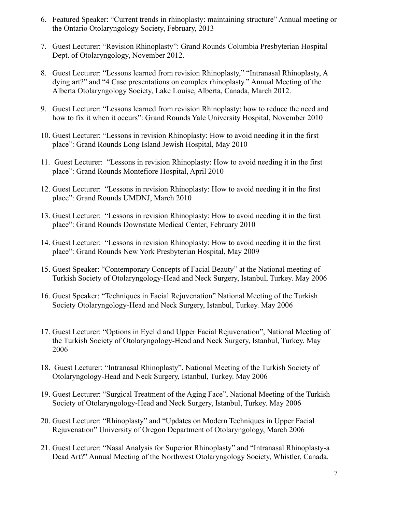- 6. Featured Speaker: "Current trends in rhinoplasty: maintaining structure" Annual meeting or the Ontario Otolaryngology Society, February, 2013
- 7. Guest Lecturer: "Revision Rhinoplasty": Grand Rounds Columbia Presbyterian Hospital Dept. of Otolaryngology, November 2012.
- 8. Guest Lecturer: "Lessons learned from revision Rhinoplasty," "Intranasal Rhinoplasty, A dying art?" and "4 Case presentations on complex rhinoplasty." Annual Meeting of the Alberta Otolaryngology Society, Lake Louise, Alberta, Canada, March 2012.
- 9. Guest Lecturer: "Lessons learned from revision Rhinoplasty: how to reduce the need and how to fix it when it occurs": Grand Rounds Yale University Hospital, November 2010
- 10. Guest Lecturer: "Lessons in revision Rhinoplasty: How to avoid needing it in the first place": Grand Rounds Long Island Jewish Hospital, May 2010
- 11. Guest Lecturer: "Lessons in revision Rhinoplasty: How to avoid needing it in the first place": Grand Rounds Montefiore Hospital, April 2010
- 12. Guest Lecturer: "Lessons in revision Rhinoplasty: How to avoid needing it in the first place": Grand Rounds UMDNJ, March 2010
- 13. Guest Lecturer: "Lessons in revision Rhinoplasty: How to avoid needing it in the first place": Grand Rounds Downstate Medical Center, February 2010
- 14. Guest Lecturer: "Lessons in revision Rhinoplasty: How to avoid needing it in the first place": Grand Rounds New York Presbyterian Hospital, May 2009
- 15. Guest Speaker: "Contemporary Concepts of Facial Beauty" at the National meeting of Turkish Society of Otolaryngology-Head and Neck Surgery, Istanbul, Turkey. May 2006
- 16. Guest Speaker: "Techniques in Facial Rejuvenation" National Meeting of the Turkish Society Otolaryngology-Head and Neck Surgery, Istanbul, Turkey. May 2006
- 17. Guest Lecturer: "Options in Eyelid and Upper Facial Rejuvenation", National Meeting of the Turkish Society of Otolaryngology-Head and Neck Surgery, Istanbul, Turkey. May 2006
- 18. Guest Lecturer: "Intranasal Rhinoplasty", National Meeting of the Turkish Society of Otolaryngology-Head and Neck Surgery, Istanbul, Turkey. May 2006
- 19. Guest Lecturer: "Surgical Treatment of the Aging Face", National Meeting of the Turkish Society of Otolaryngology-Head and Neck Surgery, Istanbul, Turkey. May 2006
- 20. Guest Lecturer: "Rhinoplasty" and "Updates on Modern Techniques in Upper Facial Rejuvenation" University of Oregon Department of Otolaryngology, March 2006
- 21. Guest Lecturer: "Nasal Analysis for Superior Rhinoplasty" and "Intranasal Rhinoplasty-a Dead Art?" Annual Meeting of the Northwest Otolaryngology Society, Whistler, Canada.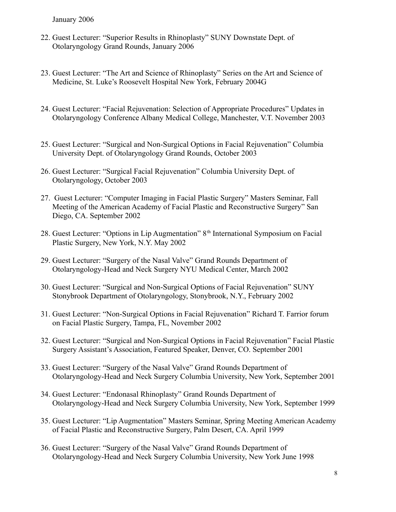January 2006

- 22. Guest Lecturer: "Superior Results in Rhinoplasty" SUNY Downstate Dept. of Otolaryngology Grand Rounds, January 2006
- 23. Guest Lecturer: "The Art and Science of Rhinoplasty" Series on the Art and Science of Medicine, St. Luke's Roosevelt Hospital New York, February 2004G
- 24. Guest Lecturer: "Facial Rejuvenation: Selection of Appropriate Procedures" Updates in Otolaryngology Conference Albany Medical College, Manchester, V.T. November 2003
- 25. Guest Lecturer: "Surgical and Non-Surgical Options in Facial Rejuvenation" Columbia University Dept. of Otolaryngology Grand Rounds, October 2003
- 26. Guest Lecturer: "Surgical Facial Rejuvenation" Columbia University Dept. of Otolaryngology, October 2003
- 27. Guest Lecturer: "Computer Imaging in Facial Plastic Surgery" Masters Seminar, Fall Meeting of the American Academy of Facial Plastic and Reconstructive Surgery" San Diego, CA. September 2002
- 28. Guest Lecturer: "Options in Lip Augmentation" 8<sup>th</sup> International Symposium on Facial Plastic Surgery, New York, N.Y. May 2002
- 29. Guest Lecturer: "Surgery of the Nasal Valve" Grand Rounds Department of Otolaryngology-Head and Neck Surgery NYU Medical Center, March 2002
- 30. Guest Lecturer: "Surgical and Non-Surgical Options of Facial Rejuvenation" SUNY Stonybrook Department of Otolaryngology, Stonybrook, N.Y., February 2002
- 31. Guest Lecturer: "Non-Surgical Options in Facial Rejuvenation" Richard T. Farrior forum on Facial Plastic Surgery, Tampa, FL, November 2002
- 32. Guest Lecturer: "Surgical and Non-Surgical Options in Facial Rejuvenation" Facial Plastic Surgery Assistant's Association, Featured Speaker, Denver, CO. September 2001
- 33. Guest Lecturer: "Surgery of the Nasal Valve" Grand Rounds Department of Otolaryngology-Head and Neck Surgery Columbia University, New York, September 2001
- 34. Guest Lecturer: "Endonasal Rhinoplasty" Grand Rounds Department of Otolaryngology-Head and Neck Surgery Columbia University, New York, September 1999
- 35. Guest Lecturer: "Lip Augmentation" Masters Seminar, Spring Meeting American Academy of Facial Plastic and Reconstructive Surgery, Palm Desert, CA. April 1999
- 36. Guest Lecturer: "Surgery of the Nasal Valve" Grand Rounds Department of Otolaryngology-Head and Neck Surgery Columbia University, New York June 1998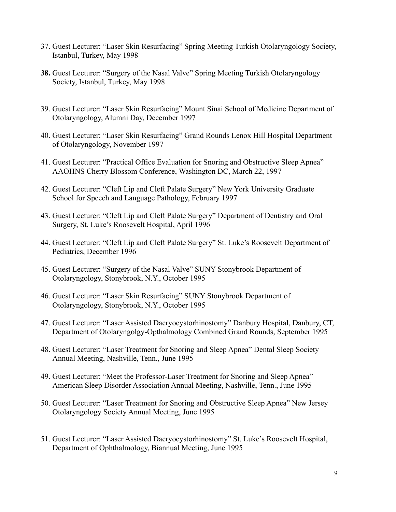- 37. Guest Lecturer: "Laser Skin Resurfacing" Spring Meeting Turkish Otolaryngology Society, Istanbul, Turkey, May 1998
- **38.** Guest Lecturer: "Surgery of the Nasal Valve" Spring Meeting Turkish Otolaryngology Society, Istanbul, Turkey, May 1998
- 39. Guest Lecturer: "Laser Skin Resurfacing" Mount Sinai School of Medicine Department of Otolaryngology, Alumni Day, December 1997
- 40. Guest Lecturer: "Laser Skin Resurfacing" Grand Rounds Lenox Hill Hospital Department of Otolaryngology, November 1997
- 41. Guest Lecturer: "Practical Office Evaluation for Snoring and Obstructive Sleep Apnea" AAOHNS Cherry Blossom Conference, Washington DC, March 22, 1997
- 42. Guest Lecturer: "Cleft Lip and Cleft Palate Surgery" New York University Graduate School for Speech and Language Pathology, February 1997
- 43. Guest Lecturer: "Cleft Lip and Cleft Palate Surgery" Department of Dentistry and Oral Surgery, St. Luke's Roosevelt Hospital, April 1996
- 44. Guest Lecturer: "Cleft Lip and Cleft Palate Surgery" St. Luke's Roosevelt Department of Pediatrics, December 1996
- 45. Guest Lecturer: "Surgery of the Nasal Valve" SUNY Stonybrook Department of Otolaryngology, Stonybrook, N.Y., October 1995
- 46. Guest Lecturer: "Laser Skin Resurfacing" SUNY Stonybrook Department of Otolaryngology, Stonybrook, N.Y., October 1995
- 47. Guest Lecturer: "Laser Assisted Dacryocystorhinostomy" Danbury Hospital, Danbury, CT, Department of Otolaryngolgy-Opthalmology Combined Grand Rounds, September 1995
- 48. Guest Lecturer: "Laser Treatment for Snoring and Sleep Apnea" Dental Sleep Society Annual Meeting, Nashville, Tenn., June 1995
- 49. Guest Lecturer: "Meet the Professor-Laser Treatment for Snoring and Sleep Apnea" American Sleep Disorder Association Annual Meeting, Nashville, Tenn., June 1995
- 50. Guest Lecturer: "Laser Treatment for Snoring and Obstructive Sleep Apnea" New Jersey Otolaryngology Society Annual Meeting, June 1995
- 51. Guest Lecturer: "Laser Assisted Dacryocystorhinostomy" St. Luke's Roosevelt Hospital, Department of Ophthalmology, Biannual Meeting, June 1995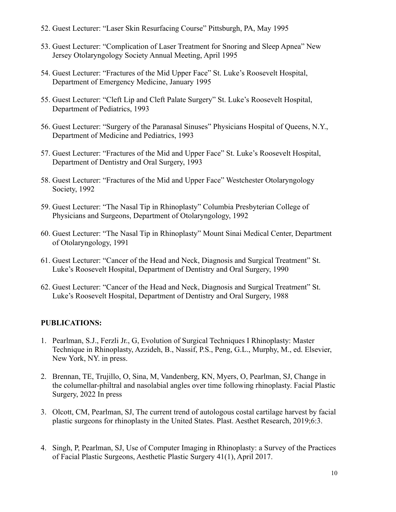- 52. Guest Lecturer: "Laser Skin Resurfacing Course" Pittsburgh, PA, May 1995
- 53. Guest Lecturer: "Complication of Laser Treatment for Snoring and Sleep Apnea" New Jersey Otolaryngology Society Annual Meeting, April 1995
- 54. Guest Lecturer: "Fractures of the Mid Upper Face" St. Luke's Roosevelt Hospital, Department of Emergency Medicine, January 1995
- 55. Guest Lecturer: "Cleft Lip and Cleft Palate Surgery" St. Luke's Roosevelt Hospital, Department of Pediatrics, 1993
- 56. Guest Lecturer: "Surgery of the Paranasal Sinuses" Physicians Hospital of Queens, N.Y., Department of Medicine and Pediatrics, 1993
- 57. Guest Lecturer: "Fractures of the Mid and Upper Face" St. Luke's Roosevelt Hospital, Department of Dentistry and Oral Surgery, 1993
- 58. Guest Lecturer: "Fractures of the Mid and Upper Face" Westchester Otolaryngology Society, 1992
- 59. Guest Lecturer: "The Nasal Tip in Rhinoplasty" Columbia Presbyterian College of Physicians and Surgeons, Department of Otolaryngology, 1992
- 60. Guest Lecturer: "The Nasal Tip in Rhinoplasty" Mount Sinai Medical Center, Department of Otolaryngology, 1991
- 61. Guest Lecturer: "Cancer of the Head and Neck, Diagnosis and Surgical Treatment" St. Luke's Roosevelt Hospital, Department of Dentistry and Oral Surgery, 1990
- 62. Guest Lecturer: "Cancer of the Head and Neck, Diagnosis and Surgical Treatment" St. Luke's Roosevelt Hospital, Department of Dentistry and Oral Surgery, 1988

#### **PUBLICATIONS:**

- 1. Pearlman, S.J., Ferzli Jr., G, Evolution of Surgical Techniques I Rhinoplasty: Master Technique in Rhinoplasty, Azzideh, B., Nassif, P.S., Peng, G.L., Murphy, M., ed. Elsevier, New York, NY. in press.
- 2. Brennan, TE, Trujillo, O, Sina, M, Vandenberg, KN, Myers, O, Pearlman, SJ, Change in the columellar-philtral and nasolabial angles over time following rhinoplasty. Facial Plastic Surgery, 2022 In press
- 3. Olcott, CM, Pearlman, SJ, The current trend of autologous costal cartilage harvest by facial plastic surgeons for rhinoplasty in the United States. Plast. Aesthet Research, 2019;6:3.
- 4. Singh, P, Pearlman, SJ, Use of Computer Imaging in Rhinoplasty: a Survey of the Practices of Facial Plastic Surgeons, Aesthetic Plastic Surgery 41(1), April 2017.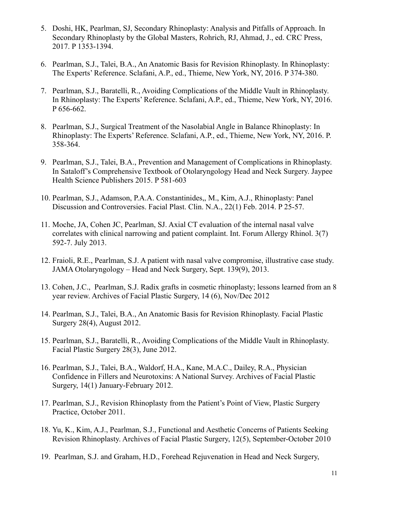- 5. Doshi, HK, Pearlman, SJ, Secondary Rhinoplasty: Analysis and Pitfalls of Approach. In Secondary Rhinoplasty by the Global Masters, Rohrich, RJ, Ahmad, J., ed. CRC Press, 2017. P 1353-1394.
- 6. Pearlman, S.J., Talei, B.A., An Anatomic Basis for Revision Rhinoplasty. In Rhinoplasty: The Experts' Reference. Sclafani, A.P., ed., Thieme, New York, NY, 2016. P 374-380.
- 7. Pearlman, S.J., Baratelli, R., Avoiding Complications of the Middle Vault in Rhinoplasty. In Rhinoplasty: The Experts' Reference. Sclafani, A.P., ed., Thieme, New York, NY, 2016. P 656-662.
- 8. Pearlman, S.J., Surgical Treatment of the Nasolabial Angle in Balance Rhinoplasty: In Rhinoplasty: The Experts' Reference. Sclafani, A.P., ed., Thieme, New York, NY, 2016. P. 358-364.
- 9. Pearlman, S.J., Talei, B.A., Prevention and Management of Complications in Rhinoplasty. In Sataloff's Comprehensive Textbook of Otolaryngology Head and Neck Surgery. Jaypee Health Science Publishers 2015. P 581-603
- 10. Pearlman, S.J., Adamson, P.A.A. Constantinides,, M., Kim, A.J., Rhinoplasty: Panel Discussion and Controversies. Facial Plast. Clin. N.A., 22(1) Feb. 2014. P 25-57.
- 11. Moche, JA, Cohen JC, Pearlman, SJ. Axial CT evaluation of the internal nasal valve correlates with clinical narrowing and patient complaint. Int. Forum Allergy Rhinol. 3(7) 592-7. July 2013.
- 12. Fraioli, R.E., Pearlman, S.J. A patient with nasal valve compromise, illustrative case study. JAMA Otolaryngology – Head and Neck Surgery, Sept. 139(9), 2013.
- 13. Cohen, J.C., Pearlman, S.J. Radix grafts in cosmetic rhinoplasty; lessons learned from an 8 year review. Archives of Facial Plastic Surgery, 14 (6), Nov/Dec 2012
- 14. Pearlman, S.J., Talei, B.A., An Anatomic Basis for Revision Rhinoplasty. Facial Plastic Surgery 28(4), August 2012.
- 15. Pearlman, S.J., Baratelli, R., Avoiding Complications of the Middle Vault in Rhinoplasty. Facial Plastic Surgery 28(3), June 2012.
- 16. Pearlman, S.J., Talei, B.A., Waldorf, H.A., Kane, M.A.C., Dailey, R.A., Physician Confidence in Fillers and Neurotoxins: A National Survey. Archives of Facial Plastic Surgery, 14(1) January-February 2012.
- 17. Pearlman, S.J., Revision Rhinoplasty from the Patient's Point of View, Plastic Surgery Practice, October 2011.
- 18. Yu, K., Kim, A.J., Pearlman, S.J., Functional and Aesthetic Concerns of Patients Seeking Revision Rhinoplasty. Archives of Facial Plastic Surgery, 12(5), September-October 2010
- 19. Pearlman, S.J. and Graham, H.D., Forehead Rejuvenation in Head and Neck Surgery,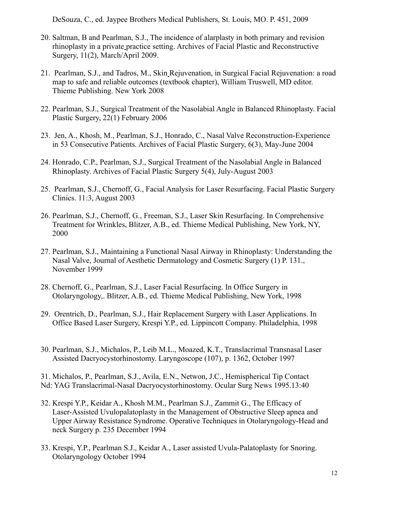DeSouza, C., ed. Jaypee Brothers Medical Publishers, St. Louis, MO. P. 451, 2009

- 20. Saltman, B and Pearlman, S.J., The incidence of alarplasty in both primary and revision rhinoplasty in a private practice setting. Archives of Facial Plastic and Reconstructive Surgery, 11(2), March/April 2009.
- 21. Pearlman, S.J., and Tadros, M., Skin Rejuvenation, in Surgical Facial Rejuvenation: a road map to safe and reliable outcomes (textbook chapter), William Truswell, MD editor. Thieme Publishing. New York 2008
- 22. Pearlman, S.J., Surgical Treatment of the Nasolabial Angle in Balanced Rhinoplasty. Facial Plastic Surgery, 22(1) February 2006
- 23. Jen, A., Khosh, M., Pearlman, S.J., Honrado, C., Nasal Valve Reconstruction-Experience in 53 Consecutive Patients. Archives of Facial Plastic Surgery, 6(3), May-June 2004
- 24. Honrado, C.P., Pearlman, S.J., Surgical Treatment of the Nasolabial Angle in Balanced Rhinoplasty. Archives of Facial Plastic Surgery 5(4), July-August 2003
- 25. Pearlman, S.J., Chernoff, G., Facial Analysis for Laser Resurfacing. Facial Plastic Surgery Clinics. 11:3, August 2003
- 26. Pearlman, S.J., Chernoff, G., Freeman, S.J., Laser Skin Resurfacing. In Comprehensive Treatment for Wrinkles, Blitzer, A.B., ed. Thieme Medical Publishing, New York, NY, 2000
- 27. Pearlman, S.J., Maintaining a Functional Nasal Airway in Rhinoplasty: Understanding the Nasal Valve, Journal of Aesthetic Dermatology and Cosmetic Surgery (1) P. 131., November 1999
- 28. Chernoff, G., Pearlman, S.J., Laser Facial Resurfacing. In Office Surgery in Otolaryngology,. Blitzer, A.B., ed. Thieme Medical Publishing, New York, 1998
- 29. Orentrich, D., Pearlman, S.J., Hair Replacement Surgery with Laser Applications. In Office Based Laser Surgery, Krespi Y.P., ed. Lippincott Company. Philadelphia, 1998
- 30. Pearlman, S.J., Michalos, P., Leib M.L., Moazed, K.T., Translacrimal Transnasal Laser Assisted Dacryocystorhinostomy. Laryngoscope (107), p. 1362, October 1997

31. Michalos, P., Pearlman, S.J., Avila, E.N., Netwon, J.C., Hemispherical Tip Contact Nd: YAG Translacrimal-Nasal Dacryocystorhinostomy. Ocular Surg News 1995.13:40

- 32. Krespi Y.P., Keidar A., Khosh M.M., Pearlman S.J., Zammit G., The Efficacy of Laser-Assisted Uvulopalatoplasty in the Management of Obstructive Sleep apnea and Upper Airway Resistance Syndrome. Operative Techniques in Otolaryngology-Head and neck Surgery p. 235 December 1994
- 33. Krespi, Y.P., Pearlman S.J., Keidar A., Laser assisted Uvula-Palatoplasty for Snoring. Otolaryngology October 1994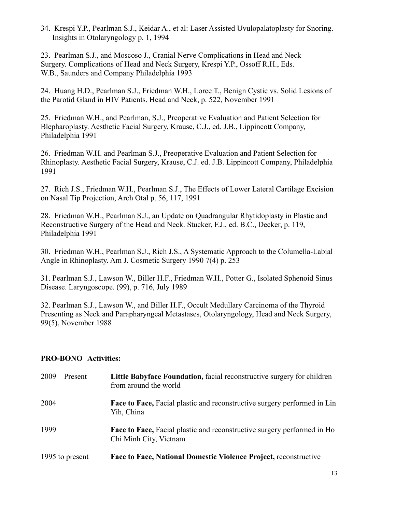34. Krespi Y.P., Pearlman S.J., Keidar A., et al: Laser Assisted Uvulopalatoplasty for Snoring. Insights in Otolaryngology p. 1, 1994

23. Pearlman S.J., and Moscoso J., Cranial Nerve Complications in Head and Neck Surgery. Complications of Head and Neck Surgery, Krespi Y.P., Ossoff R.H., Eds. W.B., Saunders and Company Philadelphia 1993

24. Huang H.D., Pearlman S.J., Friedman W.H., Loree T., Benign Cystic vs. Solid Lesions of the Parotid Gland in HIV Patients. Head and Neck, p. 522, November 1991

25. Friedman W.H., and Pearlman, S.J., Preoperative Evaluation and Patient Selection for Blepharoplasty. Aesthetic Facial Surgery, Krause, C.J., ed. J.B., Lippincott Company, Philadelphia 1991

26. Friedman W.H. and Pearlman S.J., Preoperative Evaluation and Patient Selection for Rhinoplasty. Aesthetic Facial Surgery, Krause, C.J. ed. J.B. Lippincott Company, Philadelphia 1991

27. Rich J.S., Friedman W.H., Pearlman S.J., The Effects of Lower Lateral Cartilage Excision on Nasal Tip Projection, Arch Otal p. 56, 117, 1991

28. Friedman W.H., Pearlman S.J., an Update on Quadrangular Rhytidoplasty in Plastic and Reconstructive Surgery of the Head and Neck. Stucker, F.J., ed. B.C., Decker, p. 119, Philadelphia 1991

30. Friedman W.H., Pearlman S.J., Rich J.S., A Systematic Approach to the Columella-Labial Angle in Rhinoplasty. Am J. Cosmetic Surgery 1990 7(4) p. 253

31. Pearlman S.J., Lawson W., Biller H.F., Friedman W.H., Potter G., Isolated Sphenoid Sinus Disease. Laryngoscope. (99), p. 716, July 1989

32. Pearlman S.J., Lawson W., and Biller H.F., Occult Medullary Carcinoma of the Thyroid Presenting as Neck and Parapharyngeal Metastases, Otolaryngology, Head and Neck Surgery, 99(5), November 1988

#### **PRO-BONO Activities:**

| $2009 -$ Present | Little Babyface Foundation, facial reconstructive surgery for children<br>from around the world   |
|------------------|---------------------------------------------------------------------------------------------------|
| 2004             | <b>Face to Face, Facial plastic and reconstructive surgery performed in Lin</b><br>Yih, China     |
| 1999             | Face to Face, Facial plastic and reconstructive surgery performed in Ho<br>Chi Minh City, Vietnam |
| 1995 to present  | <b>Face to Face, National Domestic Violence Project, reconstructive</b>                           |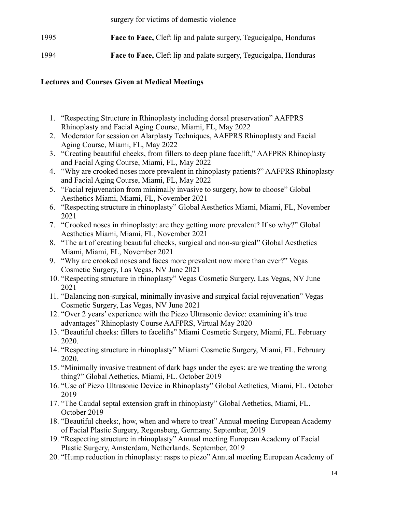surgery for victims of domestic violence

| 1995 | <b>Face to Face, Cleft lip and palate surgery, Tegucigalpa, Honduras</b> |
|------|--------------------------------------------------------------------------|
| 1994 | <b>Face to Face, Cleft lip and palate surgery, Tegucigalpa, Honduras</b> |

## **Lectures and Courses Given at Medical Meetings**

- 1. "Respecting Structure in Rhinoplasty including dorsal preservation" AAFPRS Rhinoplasty and Facial Aging Course, Miami, FL, May 2022
- 2. Moderator for session on Alarplasty Techniques, AAFPRS Rhinoplasty and Facial Aging Course, Miami, FL, May 2022
- 3. "Creating beautiful cheeks, from fillers to deep plane facelift," AAFPRS Rhinoplasty and Facial Aging Course, Miami, FL, May 2022
- 4. "Why are crooked noses more prevalent in rhinoplasty patients?" AAFPRS Rhinoplasty and Facial Aging Course, Miami, FL, May 2022
- 5. "Facial rejuvenation from minimally invasive to surgery, how to choose" Global Aesthetics Miami, Miami, FL, November 2021
- 6. "Respecting structure in rhinoplasty" Global Aesthetics Miami, Miami, FL, November 2021
- 7. "Crooked noses in rhinoplasty: are they getting more prevalent? If so why?" Global Aesthetics Miami, Miami, FL, November 2021
- 8. "The art of creating beautiful cheeks, surgical and non-surgical" Global Aesthetics Miami, Miami, FL, November 2021
- 9. "Why are crooked noses and faces more prevalent now more than ever?" Vegas Cosmetic Surgery, Las Vegas, NV June 2021
- 10. "Respecting structure in rhinoplasty" Vegas Cosmetic Surgery, Las Vegas, NV June 2021
- 11. "Balancing non-surgical, minimally invasive and surgical facial rejuvenation" Vegas Cosmetic Surgery, Las Vegas, NV June 2021
- 12. "Over 2 years' experience with the Piezo Ultrasonic device: examining it's true advantages" Rhinoplasty Course AAFPRS, Virtual May 2020
- 13. "Beautiful cheeks: fillers to facelifts" Miami Cosmetic Surgery, Miami, FL. February 2020.
- 14. "Respecting structure in rhinoplasty" Miami Cosmetic Surgery, Miami, FL. February 2020.
- 15. "Minimally invasive treatment of dark bags under the eyes: are we treating the wrong thing?" Global Aethetics, Miami, FL. October 2019
- 16. "Use of Piezo Ultrasonic Device in Rhinoplasty" Global Aethetics, Miami, FL. October 2019
- 17. "The Caudal septal extension graft in rhinoplasty" Global Aethetics, Miami, FL. October 2019
- 18. "Beautiful cheeks:, how, when and where to treat" Annual meeting European Academy of Facial Plastic Surgery, Regensberg, Germany. September, 2019
- 19. "Respecting structure in rhinoplasty" Annual meeting European Academy of Facial Plastic Surgery, Amsterdam, Netherlands. September, 2019
- 20. "Hump reduction in rhinoplasty: rasps to piezo" Annual meeting European Academy of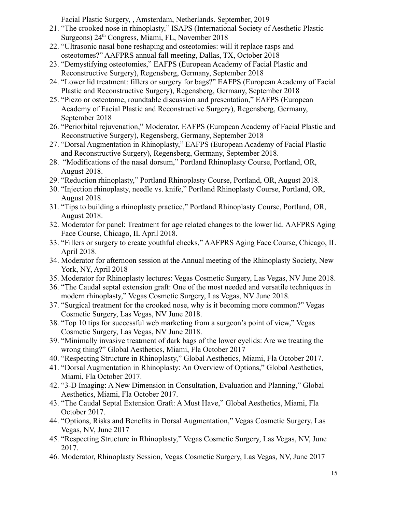Facial Plastic Surgery, , Amsterdam, Netherlands. September, 2019

- 21. "The crooked nose in rhinoplasty," ISAPS (International Society of Aesthetic Plastic Surgeons) 24<sup>th</sup> Congress, Miami, FL, November 2018
- 22. "Ultrasonic nasal bone reshaping and osteotomies: will it replace rasps and osteotomes?" AAFPRS annual fall meeting, Dallas, TX, October 2018
- 23. "Demystifying osteotomies," EAFPS (European Academy of Facial Plastic and Reconstructive Surgery), Regensberg, Germany, September 2018
- 24. "Lower lid treatment: fillers or surgery for bags?" EAFPS (European Academy of Facial Plastic and Reconstructive Surgery), Regensberg, Germany, September 2018
- 25. "Piezo or osteotome, roundtable discussion and presentation," EAFPS (European Academy of Facial Plastic and Reconstructive Surgery), Regensberg, Germany, September 2018
- 26. "Periorbital rejuvenation," Moderator, EAFPS (European Academy of Facial Plastic and Reconstructive Surgery), Regensberg, Germany, September 2018
- 27. "Dorsal Augmentation in Rhinoplasty," EAFPS (European Academy of Facial Plastic and Reconstructive Surgery), Regensberg, Germany, September 2018.
- 28. "Modifications of the nasal dorsum," Portland Rhinoplasty Course, Portland, OR, August 2018.
- 29. "Reduction rhinoplasty," Portland Rhinoplasty Course, Portland, OR, August 2018.
- 30. "Injection rhinoplasty, needle vs. knife," Portland Rhinoplasty Course, Portland, OR, August 2018.
- 31. "Tips to building a rhinoplasty practice," Portland Rhinoplasty Course, Portland, OR, August 2018.
- 32. Moderator for panel: Treatment for age related changes to the lower lid. AAFPRS Aging Face Course, Chicago, IL April 2018.
- 33. "Fillers or surgery to create youthful cheeks," AAFPRS Aging Face Course, Chicago, IL April 2018.
- 34. Moderator for afternoon session at the Annual meeting of the Rhinoplasty Society, New York, NY, April 2018
- 35. Moderator for Rhinoplasty lectures: Vegas Cosmetic Surgery, Las Vegas, NV June 2018.
- 36. "The Caudal septal extension graft: One of the most needed and versatile techniques in modern rhinoplasty," Vegas Cosmetic Surgery, Las Vegas, NV June 2018.
- 37. "Surgical treatment for the crooked nose, why is it becoming more common?" Vegas Cosmetic Surgery, Las Vegas, NV June 2018.
- 38. "Top 10 tips for successful web marketing from a surgeon's point of view," Vegas Cosmetic Surgery, Las Vegas, NV June 2018.
- 39. "Minimally invasive treatment of dark bags of the lower eyelids: Are we treating the wrong thing?" Global Aesthetics, Miami, Fla October 2017
- 40. "Respecting Structure in Rhinoplasty," Global Aesthetics, Miami, Fla October 2017.
- 41. "Dorsal Augmentation in Rhinoplasty: An Overview of Options," Global Aesthetics, Miami, Fla October 2017.
- 42. "3-D Imaging: A New Dimension in Consultation, Evaluation and Planning," Global Aesthetics, Miami, Fla October 2017.
- 43. "The Caudal Septal Extension Graft: A Must Have," Global Aesthetics, Miami, Fla October 2017.
- 44. "Options, Risks and Benefits in Dorsal Augmentation," Vegas Cosmetic Surgery, Las Vegas, NV, June 2017
- 45. "Respecting Structure in Rhinoplasty," Vegas Cosmetic Surgery, Las Vegas, NV, June 2017.
- 46. Moderator, Rhinoplasty Session, Vegas Cosmetic Surgery, Las Vegas, NV, June 2017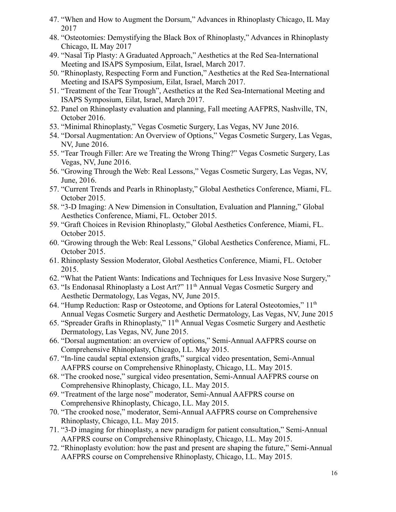- 47. "When and How to Augment the Dorsum," Advances in Rhinoplasty Chicago, IL May 2017
- 48. "Osteotomies: Demystifying the Black Box of Rhinoplasty," Advances in Rhinoplasty Chicago, IL May 2017
- 49. "Nasal Tip Plasty: A Graduated Approach," Aesthetics at the Red Sea-International Meeting and ISAPS Symposium, Eilat, Israel, March 2017.
- 50. "Rhinoplasty, Respecting Form and Function," Aesthetics at the Red Sea-International Meeting and ISAPS Symposium, Eilat, Israel, March 2017.
- 51. "Treatment of the Tear Trough", Aesthetics at the Red Sea-International Meeting and ISAPS Symposium, Eilat, Israel, March 2017.
- 52. Panel on Rhinoplasty evaluation and planning, Fall meeting AAFPRS, Nashville, TN, October 2016.
- 53. "Minimal Rhinoplasty," Vegas Cosmetic Surgery, Las Vegas, NV June 2016.
- 54. "Dorsal Augmentation: An Overview of Options," Vegas Cosmetic Surgery, Las Vegas, NV, June 2016.
- 55. "Tear Trough Filler: Are we Treating the Wrong Thing?" Vegas Cosmetic Surgery, Las Vegas, NV, June 2016.
- 56. "Growing Through the Web: Real Lessons," Vegas Cosmetic Surgery, Las Vegas, NV, June, 2016.
- 57. "Current Trends and Pearls in Rhinoplasty," Global Aesthetics Conference, Miami, FL. October 2015.
- 58. "3-D Imaging: A New Dimension in Consultation, Evaluation and Planning," Global Aesthetics Conference, Miami, FL. October 2015.
- 59. "Graft Choices in Revision Rhinoplasty," Global Aesthetics Conference, Miami, FL. October 2015.
- 60. "Growing through the Web: Real Lessons," Global Aesthetics Conference, Miami, FL. October 2015.
- 61. Rhinoplasty Session Moderator, Global Aesthetics Conference, Miami, FL. October 2015.
- 62. "What the Patient Wants: Indications and Techniques for Less Invasive Nose Surgery,"
- 63. "Is Endonasal Rhinoplasty a Lost Art?" 11 th Annual Vegas Cosmetic Surgery and Aesthetic Dermatology, Las Vegas, NV, June 2015.
- 64. "Hump Reduction: Rasp or Osteotome, and Options for Lateral Osteotomies," 11<sup>th</sup> Annual Vegas Cosmetic Surgery and Aesthetic Dermatology, Las Vegas, NV, June 2015
- 65. "Spreader Grafts in Rhinoplasty," 11 th Annual Vegas Cosmetic Surgery and Aesthetic Dermatology, Las Vegas, NV, June 2015.
- 66. "Dorsal augmentation: an overview of options," Semi-Annual AAFPRS course on Comprehensive Rhinoplasty, Chicago, I.L. May 2015.
- 67. "In-line caudal septal extension grafts," surgical video presentation, Semi-Annual AAFPRS course on Comprehensive Rhinoplasty, Chicago, I.L. May 2015.
- 68. "The crooked nose," surgical video presentation, Semi-Annual AAFPRS course on Comprehensive Rhinoplasty, Chicago, I.L. May 2015.
- 69. "Treatment of the large nose" moderator, Semi-Annual AAFPRS course on Comprehensive Rhinoplasty, Chicago, I.L. May 2015.
- 70. "The crooked nose," moderator, Semi-Annual AAFPRS course on Comprehensive Rhinoplasty, Chicago, I.L. May 2015.
- 71. "3-D imaging for rhinoplasty, a new paradigm for patient consultation," Semi-Annual AAFPRS course on Comprehensive Rhinoplasty, Chicago, I.L. May 2015.
- 72. "Rhinoplasty evolution: how the past and present are shaping the future," Semi-Annual AAFPRS course on Comprehensive Rhinoplasty, Chicago, I.L. May 2015.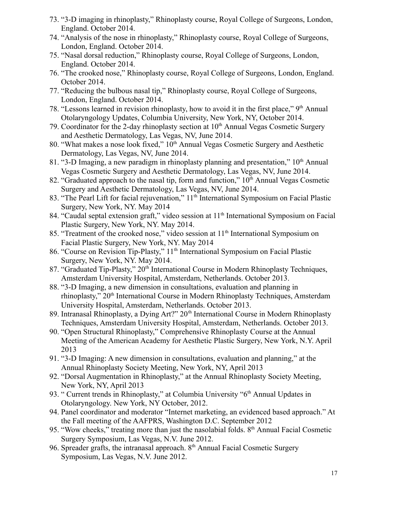- 73. "3-D imaging in rhinoplasty," Rhinoplasty course, Royal College of Surgeons, London, England. October 2014.
- 74. "Analysis of the nose in rhinoplasty," Rhinoplasty course, Royal College of Surgeons, London, England. October 2014.
- 75. "Nasal dorsal reduction," Rhinoplasty course, Royal College of Surgeons, London, England. October 2014.
- 76. "The crooked nose," Rhinoplasty course, Royal College of Surgeons, London, England. October 2014.
- 77. "Reducing the bulbous nasal tip," Rhinoplasty course, Royal College of Surgeons, London, England. October 2014.
- 78. "Lessons learned in revision rhinoplasty, how to avoid it in the first place," 9<sup>th</sup> Annual Otolaryngology Updates, Columbia University, New York, NY, October 2014.
- 79. Coordinator for the 2-day rhinoplasty section at  $10<sup>th</sup>$  Annual Vegas Cosmetic Surgery and Aesthetic Dermatology, Las Vegas, NV, June 2014.
- 80. "What makes a nose look fixed," 10<sup>th</sup> Annual Vegas Cosmetic Surgery and Aesthetic Dermatology, Las Vegas, NV, June 2014.
- 81. "3-D Imaging, a new paradigm in rhinoplasty planning and presentation,"  $10<sup>th</sup>$  Annual Vegas Cosmetic Surgery and Aesthetic Dermatology, Las Vegas, NV, June 2014.
- 82. "Graduated approach to the nasal tip, form and function,"  $10<sup>th</sup>$  Annual Vegas Cosmetic Surgery and Aesthetic Dermatology, Las Vegas, NV, June 2014.
- 83. "The Pearl Lift for facial rejuvenation," 11<sup>th</sup> International Symposium on Facial Plastic Surgery, New York, NY. May 2014
- 84. "Caudal septal extension graft," video session at 11<sup>th</sup> International Symposium on Facial Plastic Surgery, New York, NY. May 2014.
- 85. "Treatment of the crooked nose," video session at 11<sup>th</sup> International Symposium on Facial Plastic Surgery, New York, NY. May 2014
- 86. "Course on Revision Tip-Plasty," 11<sup>th</sup> International Symposium on Facial Plastic Surgery, New York, NY. May 2014.
- 87. "Graduated Tip-Plasty," 20<sup>th</sup> International Course in Modern Rhinoplasty Techniques, Amsterdam University Hospital, Amsterdam, Netherlands. October 2013.
- 88. "3-D Imaging, a new dimension in consultations, evaluation and planning in rhinoplasty," 20<sup>th</sup> International Course in Modern Rhinoplasty Techniques, Amsterdam University Hospital, Amsterdam, Netherlands. October 2013.
- 89. Intranasal Rhinoplasty, a Dying Art?" 20<sup>th</sup> International Course in Modern Rhinoplasty Techniques, Amsterdam University Hospital, Amsterdam, Netherlands. October 2013.
- 90. "Open Structural Rhinoplasty," Comprehensive Rhinoplasty Course at the Annual Meeting of the American Academy for Aesthetic Plastic Surgery, New York, N.Y. April 2013
- 91. "3-D Imaging: A new dimension in consultations, evaluation and planning," at the Annual Rhinoplasty Society Meeting, New York, NY, April 2013
- 92. "Dorsal Augmentation in Rhinoplasty," at the Annual Rhinoplasty Society Meeting, New York, NY, April 2013
- 93. " Current trends in Rhinoplasty," at Columbia University "6<sup>th</sup> Annual Updates in Otolaryngology. New York, NY October, 2012.
- 94. Panel coordinator and moderator "Internet marketing, an evidenced based approach." At the Fall meeting of the AAFPRS, Washington D.C. September 2012
- 95. "Wow cheeks," treating more than just the nasolabial folds. 8<sup>th</sup> Annual Facial Cosmetic Surgery Symposium, Las Vegas, N.V. June 2012.
- 96. Spreader grafts, the intranasal approach. 8<sup>th</sup> Annual Facial Cosmetic Surgery Symposium, Las Vegas, N.V. June 2012.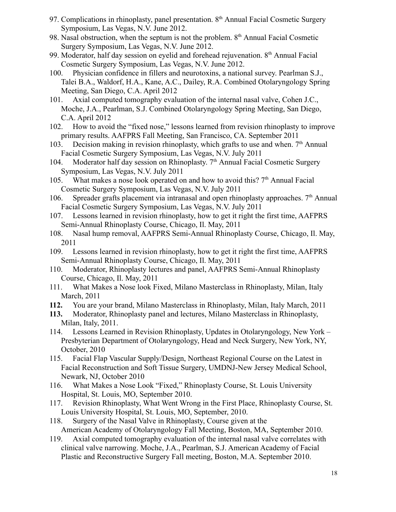- 97. Complications in rhinoplasty, panel presentation. 8<sup>th</sup> Annual Facial Cosmetic Surgery Symposium, Las Vegas, N.V. June 2012.
- 98. Nasal obstruction, when the septum is not the problem. 8<sup>th</sup> Annual Facial Cosmetic Surgery Symposium, Las Vegas, N.V. June 2012.
- 99. Moderator, half day session on eyelid and forehead rejuvenation. 8<sup>th</sup> Annual Facial Cosmetic Surgery Symposium, Las Vegas, N.V. June 2012.
- 100. Physician confidence in fillers and neurotoxins, a national survey. Pearlman S.J., Talei B.A., Waldorf, H.A., Kane, A.C., Dailey, R.A. Combined Otolaryngology Spring Meeting, San Diego, C.A. April 2012
- 101. Axial computed tomography evaluation of the internal nasal valve, Cohen J.C., Moche, J.A., Pearlman, S.J. Combined Otolaryngology Spring Meeting, San Diego, C.A. April 2012
- 102. How to avoid the "fixed nose," lessons learned from revision rhinoplasty to improve primary results. AAFPRS Fall Meeting, San Francisco, CA. September 2011
- 103. Decision making in revision rhinoplasty, which grafts to use and when.  $7<sup>th</sup>$  Annual Facial Cosmetic Surgery Symposium, Las Vegas, N.V. July 2011
- 104. Moderator half day session on Rhinoplasty. 7<sup>th</sup> Annual Facial Cosmetic Surgery Symposium, Las Vegas, N.V. July 2011
- 105. What makes a nose look operated on and how to avoid this?  $7<sup>th</sup>$  Annual Facial Cosmetic Surgery Symposium, Las Vegas, N.V. July 2011
- 106. Spreader grafts placement via intranasal and open rhinoplasty approaches.  $7<sup>th</sup>$  Annual Facial Cosmetic Surgery Symposium, Las Vegas, N.V. July 2011
- 107. Lessons learned in revision rhinoplasty, how to get it right the first time, AAFPRS Semi-Annual Rhinoplasty Course, Chicago, Il. May, 2011
- 108. Nasal hump removal, AAFPRS Semi-Annual Rhinoplasty Course, Chicago, Il. May, 2011
- 109. Lessons learned in revision rhinoplasty, how to get it right the first time, AAFPRS Semi-Annual Rhinoplasty Course, Chicago, Il. May, 2011
- 110. Moderator, Rhinoplasty lectures and panel, AAFPRS Semi-Annual Rhinoplasty Course, Chicago, Il. May, 2011
- 111. What Makes a Nose look Fixed, Milano Masterclass in Rhinoplasty, Milan, Italy March, 2011
- **112.** You are your brand, Milano Masterclass in Rhinoplasty, Milan, Italy March, 2011
- **113.** Moderator, Rhinoplasty panel and lectures, Milano Masterclass in Rhinoplasty, Milan, Italy, 2011.
- 114. Lessons Learned in Revision Rhinoplasty, Updates in Otolaryngology, New York Presbyterian Department of Otolaryngology, Head and Neck Surgery, New York, NY, October, 2010
- 115. Facial Flap Vascular Supply/Design, Northeast Regional Course on the Latest in Facial Reconstruction and Soft Tissue Surgery, UMDNJ-New Jersey Medical School, Newark, NJ, October 2010
- 116. What Makes a Nose Look "Fixed," Rhinoplasty Course, St. Louis University Hospital, St. Louis, MO, September 2010.
- 117. Revision Rhinoplasty, What Went Wrong in the First Place, Rhinoplasty Course, St. Louis University Hospital, St. Louis, MO, September, 2010.
- 118. Surgery of the Nasal Valve in Rhinoplasty, Course given at the American Academy of Otolaryngology Fall Meeting, Boston, MA, September 2010.
- 119. Axial computed tomography evaluation of the internal nasal valve correlates with clinical valve narrowing. Moche, J.A., Pearlman, S.J. American Academy of Facial Plastic and Reconstructive Surgery Fall meeting, Boston, M.A. September 2010.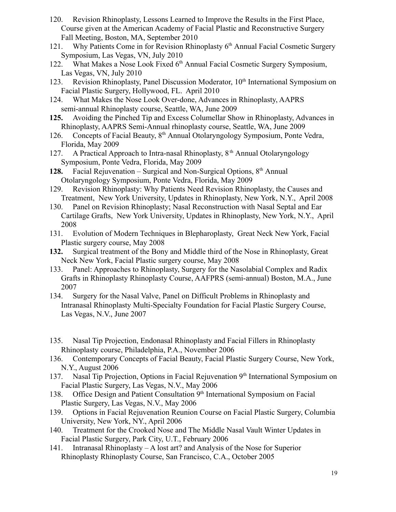- 120. Revision Rhinoplasty, Lessons Learned to Improve the Results in the First Place, Course given at the American Academy of Facial Plastic and Reconstructive Surgery Fall Meeting, Boston, MA, September 2010
- 121. Why Patients Come in for Revision Rhinoplasty 6<sup>th</sup> Annual Facial Cosmetic Surgery Symposium, Las Vegas, VN, July 2010
- 122. What Makes a Nose Look Fixed 6<sup>th</sup> Annual Facial Cosmetic Surgery Symposium, Las Vegas, VN, July 2010
- 123. Revision Rhinoplasty, Panel Discussion Moderator, 10<sup>th</sup> International Symposium on Facial Plastic Surgery, Hollywood, FL. April 2010
- 124. What Makes the Nose Look Over-done, Advances in Rhinoplasty, AAPRS semi-annual Rhinoplasty course, Seattle, WA, June 2009
- **125.** Avoiding the Pinched Tip and Excess Columellar Show in Rhinoplasty, Advances in Rhinoplasty, AAPRS Semi-Annual rhinoplasty course, Seattle, WA, June 2009
- 126. Concepts of Facial Beauty,  $8<sup>th</sup>$  Annual Otolaryngology Symposium, Ponte Vedra, Florida, May 2009
- 127. A Practical Approach to Intra-nasal Rhinoplasty,  $8<sup>th</sup>$  Annual Otolaryngology Symposium, Ponte Vedra, Florida, May 2009
- 128. Facial Rejuvenation Surgical and Non-Surgical Options, 8<sup>th</sup> Annual Otolaryngology Symposium, Ponte Vedra, Florida, May 2009
- 129. Revision Rhinoplasty: Why Patients Need Revision Rhinoplasty, the Causes and Treatment, New York University, Updates in Rhinoplasty, New York, N.Y., April 2008
- 130. Panel on Revision Rhinoplasty; Nasal Reconstruction with Nasal Septal and Ear Cartilage Grafts, New York University, Updates in Rhinoplasty, New York, N.Y., April 2008
- 131. Evolution of Modern Techniques in Blepharoplasty, Great Neck New York, Facial Plastic surgery course, May 2008
- **132.** Surgical treatment of the Bony and Middle third of the Nose in Rhinoplasty, Great Neck New York, Facial Plastic surgery course, May 2008
- 133. Panel: Approaches to Rhinoplasty, Surgery for the Nasolabial Complex and Radix Grafts in Rhinoplasty Rhinoplasty Course, AAFPRS (semi-annual) Boston, M.A., June 2007
- 134. Surgery for the Nasal Valve, Panel on Difficult Problems in Rhinoplasty and Intranasal Rhinoplasty Multi-Specialty Foundation for Facial Plastic Surgery Course, Las Vegas, N.V., June 2007
- 135. Nasal Tip Projection, Endonasal Rhinoplasty and Facial Fillers in Rhinoplasty Rhinoplasty course, Philadelphia, P.A., November 2006
- 136. Contemporary Concepts of Facial Beauty, Facial Plastic Surgery Course, New York, N.Y., August 2006
- 137. Nasal Tip Projection, Options in Facial Rejuvenation 9<sup>th</sup> International Symposium on Facial Plastic Surgery, Las Vegas, N.V., May 2006
- 138. Office Design and Patient Consultation 9<sup>th</sup> International Symposium on Facial Plastic Surgery, Las Vegas, N.V., May 2006
- 139. Options in Facial Rejuvenation Reunion Course on Facial Plastic Surgery, Columbia University, New York, NY., April 2006
- 140. Treatment for the Crooked Nose and The Middle Nasal Vault Winter Updates in Facial Plastic Surgery, Park City, U.T., February 2006
- 141. Intranasal Rhinoplasty A lost art? and Analysis of the Nose for Superior Rhinoplasty Rhinoplasty Course, San Francisco, C.A., October 2005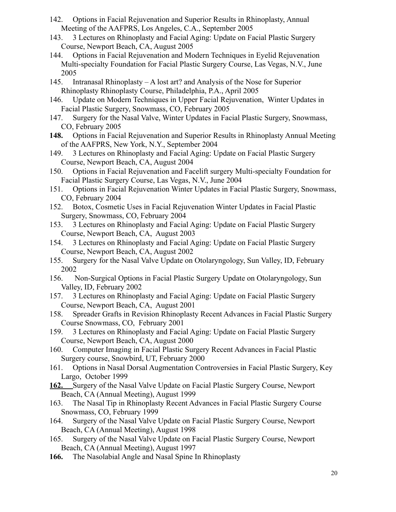- 142. Options in Facial Rejuvenation and Superior Results in Rhinoplasty, Annual Meeting of the AAFPRS, Los Angeles, C.A., September 2005
- 143. 3 Lectures on Rhinoplasty and Facial Aging: Update on Facial Plastic Surgery Course, Newport Beach, CA, August 2005
- 144. Options in Facial Rejuvenation and Modern Techniques in Eyelid Rejuvenation Multi-specialty Foundation for Facial Plastic Surgery Course, Las Vegas, N.V., June 2005
- 145. Intranasal Rhinoplasty A lost art? and Analysis of the Nose for Superior Rhinoplasty Rhinoplasty Course, Philadelphia, P.A., April 2005
- 146. Update on Modern Techniques in Upper Facial Rejuvenation, Winter Updates in Facial Plastic Surgery, Snowmass, CO, February 2005
- 147. Surgery for the Nasal Valve, Winter Updates in Facial Plastic Surgery, Snowmass, CO, February 2005
- **148.** Options in Facial Rejuvenation and Superior Results in Rhinoplasty Annual Meeting of the AAFPRS, New York, N.Y., September 2004
- 149. 3 Lectures on Rhinoplasty and Facial Aging: Update on Facial Plastic Surgery Course, Newport Beach, CA, August 2004
- 150. Options in Facial Rejuvenation and Facelift surgery Multi-specialty Foundation for Facial Plastic Surgery Course, Las Vegas, N.V., June 2004
- 151. Options in Facial Rejuvenation Winter Updates in Facial Plastic Surgery, Snowmass, CO, February 2004
- 152. Botox, Cosmetic Uses in Facial Rejuvenation Winter Updates in Facial Plastic Surgery, Snowmass, CO, February 2004
- 153. 3 Lectures on Rhinoplasty and Facial Aging: Update on Facial Plastic Surgery Course, Newport Beach, CA, August 2003
- 154. 3 Lectures on Rhinoplasty and Facial Aging: Update on Facial Plastic Surgery Course, Newport Beach, CA, August 2002
- 155. Surgery for the Nasal Valve Update on Otolaryngology, Sun Valley, ID, February 2002
- 156. Non-Surgical Options in Facial Plastic Surgery Update on Otolaryngology, Sun Valley, ID, February 2002
- 157. 3 Lectures on Rhinoplasty and Facial Aging: Update on Facial Plastic Surgery Course, Newport Beach, CA, August 2001
- 158. Spreader Grafts in Revision Rhinoplasty Recent Advances in Facial Plastic Surgery Course Snowmass, CO, February 2001
- 159. 3 Lectures on Rhinoplasty and Facial Aging: Update on Facial Plastic Surgery Course, Newport Beach, CA, August 2000
- 160. Computer Imaging in Facial Plastic Surgery Recent Advances in Facial Plastic Surgery course, Snowbird, UT, February 2000
- 161. Options in Nasal Dorsal Augmentation Controversies in Facial Plastic Surgery, Key Largo, October 1999
- **162.** Surgery of the Nasal Valve Update on Facial Plastic Surgery Course, Newport Beach, CA (Annual Meeting), August 1999
- 163. The Nasal Tip in Rhinoplasty Recent Advances in Facial Plastic Surgery Course Snowmass, CO, February 1999
- 164. Surgery of the Nasal Valve Update on Facial Plastic Surgery Course, Newport Beach, CA (Annual Meeting), August 1998
- 165. Surgery of the Nasal Valve Update on Facial Plastic Surgery Course, Newport Beach, CA (Annual Meeting), August 1997
- **166.** The Nasolabial Angle and Nasal Spine In Rhinoplasty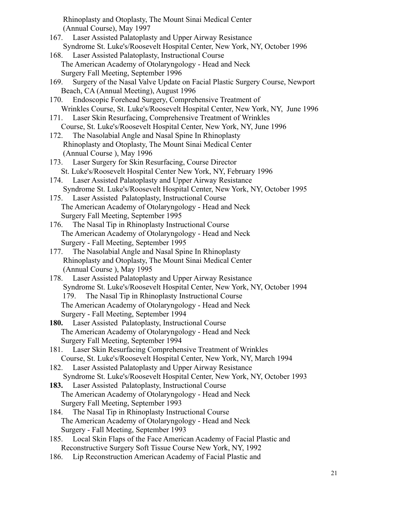Rhinoplasty and Otoplasty, The Mount Sinai Medical Center (Annual Course), May 1997

- 167. Laser Assisted Palatoplasty and Upper Airway Resistance Syndrome St. Luke's/Roosevelt Hospital Center, New York, NY, October 1996
- 168. Laser Assisted Palatoplasty, Instructional Course The American Academy of Otolaryngology - Head and Neck Surgery Fall Meeting, September 1996
- 169. Surgery of the Nasal Valve Update on Facial Plastic Surgery Course, Newport Beach, CA (Annual Meeting), August 1996
- 170. Endoscopic Forehead Surgery, Comprehensive Treatment of Wrinkles Course, St. Luke's/Roosevelt Hospital Center, New York, NY, June 1996
- 171. Laser Skin Resurfacing, Comprehensive Treatment of Wrinkles Course, St. Luke's/Roosevelt Hospital Center, New York, NY, June 1996
- 172. The Nasolabial Angle and Nasal Spine In Rhinoplasty Rhinoplasty and Otoplasty, The Mount Sinai Medical Center (Annual Course ), May 1996
- 173. Laser Surgery for Skin Resurfacing, Course Director St. Luke's/Roosevelt Hospital Center New York, NY, February 1996
- 174. Laser Assisted Palatoplasty and Upper Airway Resistance Syndrome St. Luke's/Roosevelt Hospital Center, New York, NY, October 1995
- 175. Laser Assisted Palatoplasty, Instructional Course The American Academy of Otolaryngology - Head and Neck Surgery Fall Meeting, September 1995
- 176. The Nasal Tip in Rhinoplasty Instructional Course The American Academy of Otolaryngology - Head and Neck Surgery - Fall Meeting, September 1995
- 177. The Nasolabial Angle and Nasal Spine In Rhinoplasty Rhinoplasty and Otoplasty, The Mount Sinai Medical Center (Annual Course ), May 1995
- 178. Laser Assisted Palatoplasty and Upper Airway Resistance Syndrome St. Luke's/Roosevelt Hospital Center, New York, NY, October 1994 179. The Nasal Tip in Rhinoplasty Instructional Course The American Academy of Otolaryngology - Head and Neck Surgery - Fall Meeting, September 1994
- **180.** Laser Assisted Palatoplasty, Instructional Course The American Academy of Otolaryngology - Head and Neck Surgery Fall Meeting, September 1994
- 181. Laser Skin Resurfacing Comprehensive Treatment of Wrinkles Course, St. Luke's/Roosevelt Hospital Center, New York, NY, March 1994
- 182. Laser Assisted Palatoplasty and Upper Airway Resistance Syndrome St. Luke's/Roosevelt Hospital Center, New York, NY, October 1993
- **183.** Laser Assisted Palatoplasty, Instructional Course The American Academy of Otolaryngology - Head and Neck Surgery Fall Meeting, September 1993
- 184. The Nasal Tip in Rhinoplasty Instructional Course The American Academy of Otolaryngology - Head and Neck Surgery - Fall Meeting, September 1993
- 185. Local Skin Flaps of the Face American Academy of Facial Plastic and Reconstructive Surgery Soft Tissue Course New York, NY, 1992
- 186. Lip Reconstruction American Academy of Facial Plastic and